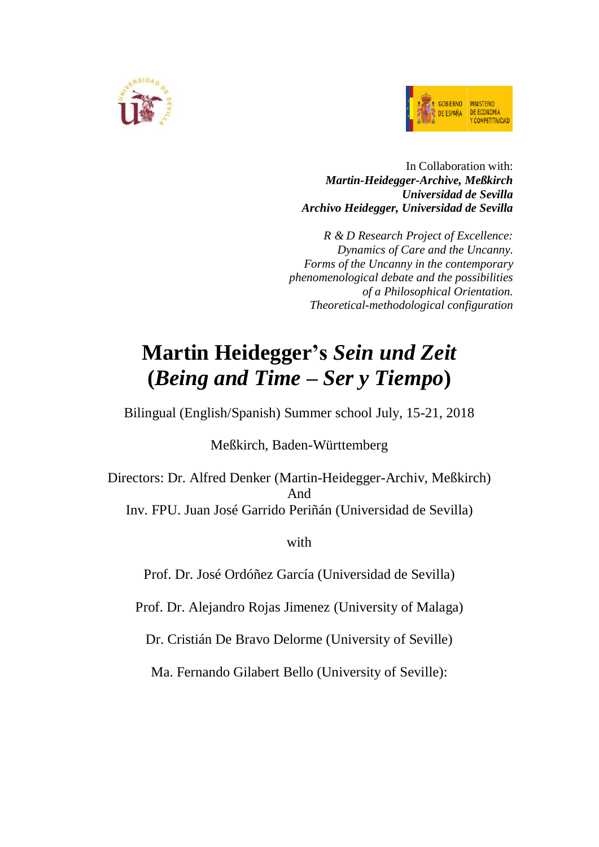



# In Collaboration with: *Martin-Heidegger-Archive, Meßkirch Universidad de Sevilla Archivo Heidegger, Universidad de Sevilla*

*R & D Research Project of Excellence: Dynamics of Care and the Uncanny. Forms of the Uncanny in the contemporary phenomenological debate and the possibilities of a Philosophical Orientation. Theoretical-methodological configuration*

# **Martin Heidegger's** *Sein und Zeit* **(***Being and Time – Ser y Tiempo***)**

Bilingual (English/Spanish) Summer school July, 15-21, 2018

Meßkirch, Baden-Württemberg

Directors: Dr. Alfred Denker (Martin-Heidegger-Archiv, Meßkirch) And Inv. FPU. Juan José Garrido Periñán (Universidad de Sevilla)

with

Prof. Dr. José Ordóñez García (Universidad de Sevilla)

Prof. Dr. Alejandro Rojas Jimenez (University of Malaga)

Dr. Cristián De Bravo Delorme (University of Seville)

Ma. Fernando Gilabert Bello (University of Seville):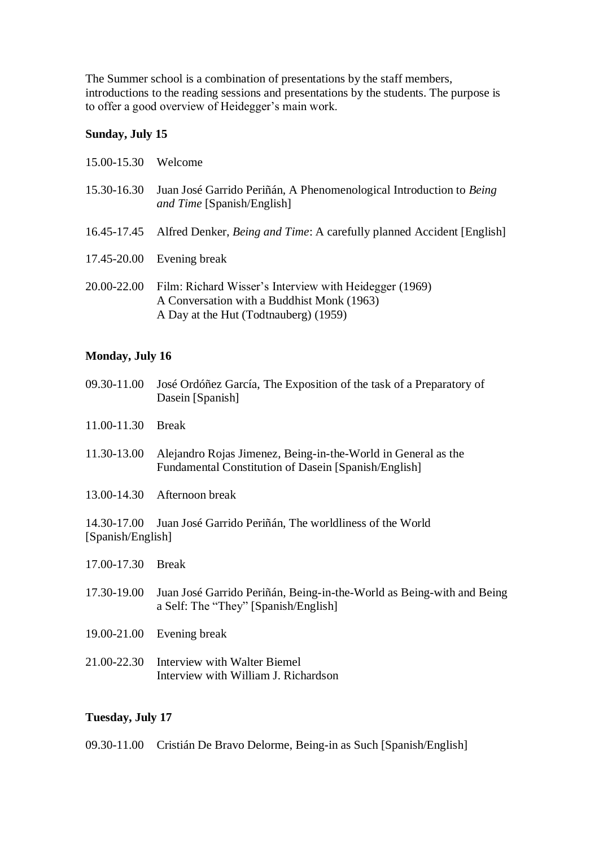The Summer school is a combination of presentations by the staff members, introductions to the reading sessions and presentations by the students. The purpose is to offer a good overview of Heidegger's main work.

## **Sunday, July 15**

| 15.00-15.30 | Welcome                                                                                                                                       |
|-------------|-----------------------------------------------------------------------------------------------------------------------------------------------|
| 15.30-16.30 | Juan José Garrido Periñán, A Phenomenological Introduction to Being<br>and Time [Spanish/English]                                             |
|             | 16.45-17.45 Alfred Denker, Being and Time: A carefully planned Accident [English]                                                             |
|             | $17.45 - 20.00$ Evening break                                                                                                                 |
| 20.00-22.00 | Film: Richard Wisser's Interview with Heidegger (1969)<br>A Conversation with a Buddhist Monk (1963)<br>A Day at the Hut (Todtnauberg) (1959) |

# **Monday, July 16**

- 09.30-11.00 José Ordóñez García, The Exposition of the task of a Preparatory of Dasein [Spanish]
- 11.00-11.30 Break
- 11.30-13.00 Alejandro Rojas Jimenez, Being-in-the-World in General as the Fundamental Constitution of Dasein [Spanish/English]
- 13.00-14.30 Afternoon break

14.30-17.00 Juan José Garrido Periñán, The worldliness of the World [Spanish/English]

- 17.00-17.30 Break
- 17.30-19.00 Juan José Garrido Periñán, Being-in-the-World as Being-with and Being a Self: The "They" [Spanish/English]
- 19.00-21.00 Evening break
- 21.00-22.30 Interview with Walter Biemel Interview with William J. Richardson

# **Tuesday, July 17**

09.30-11.00 Cristián De Bravo Delorme, Being-in as Such [Spanish/English]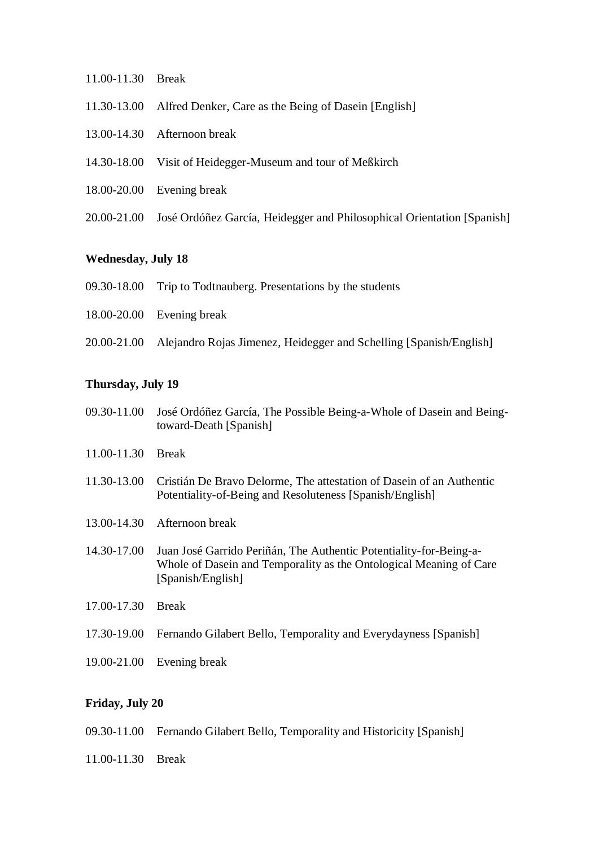- 11.00-11.30 Break
- 11.30-13.00 Alfred Denker, Care as the Being of Dasein [English]
- 13.00-14.30 Afternoon break
- 14.30-18.00 Visit of Heidegger-Museum and tour of Meßkirch
- 18.00-20.00 Evening break
- 20.00-21.00 José Ordóñez García, Heidegger and Philosophical Orientation [Spanish]

## **Wednesday, July 18**

- 09.30-18.00 Trip to Todtnauberg. Presentations by the students
- 18.00-20.00 Evening break
- 20.00-21.00 Alejandro Rojas Jimenez, Heidegger and Schelling [Spanish/English]

## **Thursday, July 19**

- 09.30-11.00 José Ordóñez García, The Possible Being-a-Whole of Dasein and Beingtoward-Death [Spanish]
- 11.00-11.30 Break
- 11.30-13.00 Cristián De Bravo Delorme, The attestation of Dasein of an Authentic Potentiality-of-Being and Resoluteness [Spanish/English]
- 13.00-14.30 Afternoon break
- 14.30-17.00 Juan José Garrido Periñán, The Authentic Potentiality-for-Being-a-Whole of Dasein and Temporality as the Ontological Meaning of Care [Spanish/English]
- 17.00-17.30 Break
- 17.30-19.00 Fernando Gilabert Bello, Temporality and Everydayness [Spanish]
- 19.00-21.00 Evening break

#### **Friday, July 20**

- 09.30-11.00 Fernando Gilabert Bello, Temporality and Historicity [Spanish]
- 11.00-11.30 Break